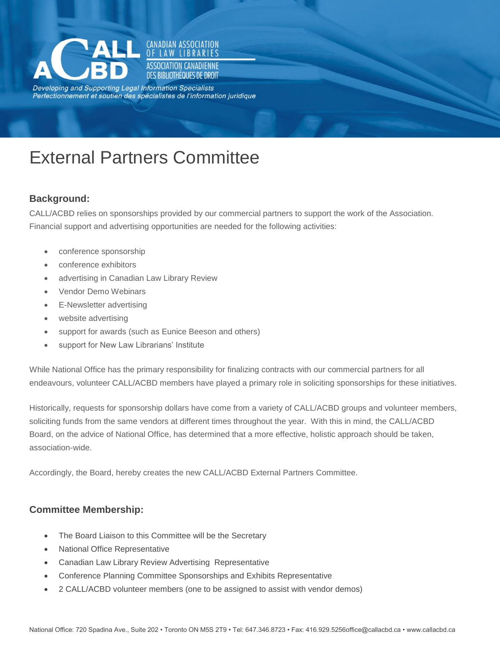

Developing and Supporting Legal Information Specialists Perfectionnement et soutien des spécialistes de l'information juridique

**CANADIAN ASSOCIATION IAW LIRRARIES** ASSOCIATION CANADIFNNF DES BIBLIOTHÉQUES DE DROIT

# External Partners Committee

## **Background:**

CALL/ACBD relies on sponsorships provided by our commercial partners to support the work of the Association. Financial support and advertising opportunities are needed for the following activities:

- conference sponsorship
- conference exhibitors
- advertising in Canadian Law Library Review
- Vendor Demo Webinars
- E-Newsletter advertising
- website advertising
- support for awards (such as Eunice Beeson and others)
- support for New Law Librarians' Institute

While National Office has the primary responsibility for finalizing contracts with our commercial partners for all endeavours, volunteer CALL/ACBD members have played a primary role in soliciting sponsorships for these initiatives.

Historically, requests for sponsorship dollars have come from a variety of CALL/ACBD groups and volunteer members, soliciting funds from the same vendors at different times throughout the year. With this in mind, the CALL/ACBD Board, on the advice of National Office, has determined that a more effective, holistic approach should be taken, association-wide.

Accordingly, the Board, hereby creates the new CALL/ACBD External Partners Committee.

## **Committee Membership:**

- The Board Liaison to this Committee will be the Secretary
- National Office Representative
- Canadian Law Library Review Advertising Representative
- Conference Planning Committee Sponsorships and Exhibits Representative
- 2 CALL/ACBD volunteer members (one to be assigned to assist with vendor demos)